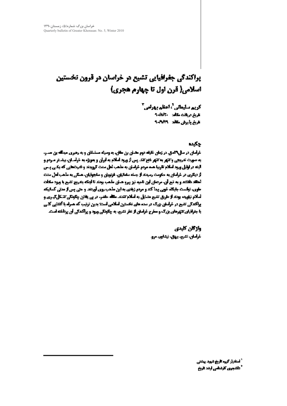# **پراکندگی جغرافیایی تشیع در خراسان در قرون تخستین** اسلامی( قرن اول تا چهارم هجری)

كريم سليماني أراعظم بهراس" عاشره والتواسيس والمانوة تاريخ بذيرش مكافد 1993-9

### جكيده

**خرامان در سال ۲۰دی. در زمان خلیله دوم مدان بن مقال، به وسیله مسلمقال و به رهبری میدانه بن مد.**ر. به صورت عربجي و تنهر به تنهر خاج تند پس از ورد املام به ايران و بدونزه به خواسان، بيشتر مردم و آینه در اوایل ورود اسلام تاریبا همه مردم خراسان به مذهب لعل سنت گرویدند و قدرشعایی که یکی پس از دیگری در خرامان به حکومت رمیدند از جمله مشانیان، نزنویان و منابعهقیان، هسکی به مذهب ادل منت **استقد تفتنت و به تیم آن، مرصان این نامیه نیز پیرو هیان مأهب بهدند تا اینکه بندریج تشیع با ورود منافت ساوی، تولنست جایگاه خوبی پیدا کند و مردم زیادی به این مذهب روی آوردند و حتی پس از مدتی کسانیکه نسانم نیاورد، بوده از طریل تشیع متسایل به اسلام تندند. منگله طندر، در پی یقتن چگونگی تنتگل گیری و** مراکعکی تشیع در خواصلی بزرگ در صده های تخستین اسلامی است؛ بدین ترتیب که هسراه با آنتایی کلبی **با بقرانیان تنهرهای بزرگ و سفرح غرامان از نظر تشیب به چگونگی ورود و پراکندگی آن پرداخته است.** 

> وازكان كليدي خرامان، تشیع، بیهال، نیشاپور، مرو

> > <sup>1</sup> فستغيار كريم كاروغ شهيد بهشتي أحكتهون كارشاس ارتد تاريخ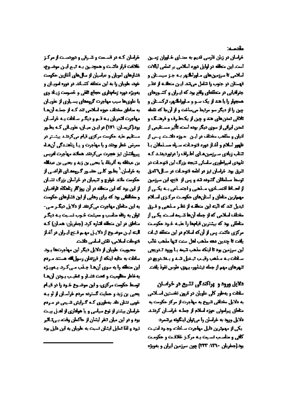مقتملات

خراسان در زبان قارسی تدیم به مضای خیابران زسین أست ابن متعلقه در أوايل دوم أسلامي بر تملس أبالات املامی تا سرزمین های ماوراگنور بـه جـز سیستان و تهستان در جنوب را تنامل مرتقد این منطقته از نظر جنرانیایی در متعلقعای واقع بود که ای ران و کشتورهای همجوار را با هند از یک سر و ماوراگور، ترکستان و چن را از دیگر سر مرتبط میساخت ر از آنجا که تقعه تانقی تعدن های هند و چین از یک طرف و فرهنگ و **تمدن ایرانی از سوی دیگر بوده استه تأثیر مستقیمی از** ادیان و مظعب مختلف در این ، حیزه دانشت پس از ظهر املام و آغاز دوره تومات، سیاه مسلمان با اتتاب زیادی سرزمین های اطراف را دربردینند که تابیدی امپراطوری ساسانی نتیجه یزرگ این نتوحات در **تترق بود خراسان لیز در ادامه خودیات در سیال آمنی توسط مسلمانان گشوده تند و پس از ختیم این سرزمین** از لحیاظ انتصادی، سقطی و اجتساعی بنه یکس از مهمترین مناطق و استان های حکومت مرکزی استلام تبديل تند كه البته اين منطقته از تظار مانحي و قارق مخطف لسلامي كداو جمله أنهط تشييمه لسمته يكس از مناطق بود که بیشترین قیابها را علیه خاود حکومت مرکزی دانست پس از آن که اسلام در این متعلقه نیات واقت تا جدين دهه مذهب لعل ستت تنها مذهب غالب این سرزمین بود تا اینکه مذهب کیمه ب**ا ورود تدریجی** سأتأت بنه متفعي وقيت تبتعل تتند ويتنتجريج در التهرهاي مهم أزجمله ليشأبور، بيهق، طوس تغوذ يأضف

دلایل مرود و ایراکندگی تشیع در خواسان سلطت و به طور کلی علویان در قرون تخستین استلامی به دلایل مختلفی تنروع به مهاجرت از مرکز حکومت به متاطق يبراموني حوزه اسلام از جملته خراستان كردنيد دلايل ورود به خراسان را می توان اینگونه برنتمرد: يكي از مهمزين تابل مهاجرت سيادات وجبود امتيت

كافي ومناسب لسيت يته مركز فلاقت وحكومت محاجفريان ١٣٦٠ ١٣٢) چون سرزمين ايران و بدويژه

خرامان که در قسمت و تسوق و دوردست از مرکز خلافت قرار دانست و همچنین بیه تبیم ایین موضیوع، افتارهای امویان و عباسیان از سال های آغازین حکومت خود، علویان را به این متعلقه کشیاند در دوره اموییان و **یهویژه دوره ژمابداری حجاج تقفی و خصیصت زینلا وی یا علوی ها سیب مهاجرت گروههای بسیاری از علویان به مناطق مختلف حرزه اسلامی تند کنه از جملنه آن هنا** مهابرت انحریان بنه تنم و دیگر سلطت بنه خراسان یود(گریمان: ۱۷۱) در ایان میان، عاویانی که بطاور مستقیم علیه حکومت مرکزی قیام می کردند پیشتر در معرض خطر بودند و یا مهاجرت و یا پناهندگی آن هاه <u> سوائنان نیز هجرت میکردند. همانند مهاجرت ادریس</u> ين عبدالله به أثريتا، يا يحيى بن زيد و يحيى بن عبدالله **یه خراسان. آیتا بر کلی حضرر کروهدای تاراضی از** حکومت مانند خوارج و تنیمیان در خراصان بزرگ نشیان از این بود که این منطقه در آن روزگار بناهگاه فراضیان و مخالفان بود که برای رهایی از این فشارهای حکومت **یه این مناطق مهاجرت می کردند از دلایل دیگ رمی -**اتوان به رفله مناسب و سیشت خاوب تسایت بله دیگار مناطق در این منطقه اتناره کرد. (چخریان: همان) کته البته این موضوع از دلاییل مهم قنوع ایران در آغاز خوطت لسلامي، تفش اسلسي طقيت

محببيت علويان از دلايل ديگر اين مهاجرتها باود. ساهات به متابه اینکه از قرزندان رسول الله هستند سردم این منطقه را به سوی آن ها جانب می کارد با ویازه ودفاط مطبقيت وكحت فشار وكتقيب بتوتن أزهنا اتهدها حكهت مركزىء واين موضوع خبود را در قيام ایجی بن زید و حمایت گسترده مردم خراسان از او ببه خیب بندان طد بدطوری کیه کرایش تسیمی در سردم خرامان بیشتر از توع سیاس و یا هواداری از اهیل بیست یود و در این میان تخر ایشان از حاکمان وقت، ب تالایر اتیود و لقا تمایل ایشان تسبت به علویان به این دلیل بود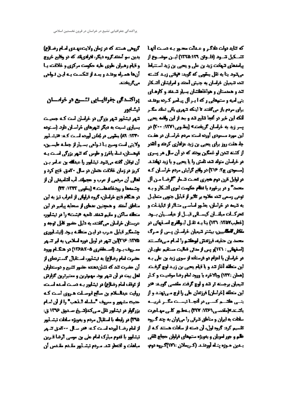كروهي هستند كه در زمان ولايت عهيدي لصام رضا(ع) یدین سو آسنند کروه دیگر، افرادیاند که در وقایع خروج **و قیام رهبران علوی علیه حکومت مرکزی و خلاقت ب** ا آن ها هماره بوقد و بسه از تنکست بنه ایان فوادی مركويختند

# وراكت كي جفرافيتايي تشتيع در خوامتتان نيشابور

کیر لیشاپور کیمر یزرگی در خراسان است کنه جسیست یسیاری نسبت به دیگر تنهرهای خراسان دارد. (ستوده **۱۳۳۰ ۸۹) بیقویی در بانان لورده است کنه: «بشنایور** ولايتي است وسيع بالتواهي بسياراز جملته فليسبونه تهمستان، لسله باخرز و طوس که تنهر یزرگی است بیه **آن لوتان گفته میکود تیشاپور را عینالله بن عباس بین کریز در زمان ذاتیت عصان در سال ۳۰م.ق قیع کرد ر** العالي أن مرتقى از عرب و عجملات آب أتنامينني أن از جشمهما و رودةانهماست » (يتقوي 1333: 33)

در هنگام فتح خراسان، گروه قراوانی از اعراب تیز به این مناطق أمددا و همچنین عدهای از متحابه پیامبر در این منطقه ساكن ومقيم تتعلد تأجيه حمشتته رأ در فيشابون عربستان خراسان می گفتند به دلیل حضور قابل توجه و جشمگیر قبایل عرب در این منطقه برد. (ایشانوری 1370: 136) بن تتهر در لويل دوره اسلامي، به ابر تتسهر مسروف بنود (استطغري ٩-١٣۶٨) در هنگنام ورود حضرت لمام رضا(ع) به لیشاپور، استقبال کستردهای از آن حضرت تند که تشاردهنده حضور تشییر و دوستداران امل بیت در آن شهر بود. مهمترین و مسیرترین کوارش از توقف امام رضا(ع) در نیشاپور بـه دست آسده است. اروایت عبدلسلام بن سالح ابوصیلت هیروی است کنه حديثه مشهور ومعروف "سلسله التفعي" والزاق امام **یزرگوار در ایشاپور نقل سی،کدانسیخ صنعیق ۱۳۷۶ ق:** 1745) در رابطه با استقبال مردم و بهویژه سادات تیشناپور از ایام رضا آورده است کند هر سال ۲۰۰ هق تنبور انیشاییر یا قدوم مبارک لمام علی بن موسی الرضا قبرین مباهات و اقتصار کند سردم تیشنایور مقیدم مقینس آن

كه تنايد دولت دادگار و علمالت محاور بله دست آنها . تشبكيل تسود (قلبوتن ١٢٦٥:١٣٦) ايس موضيوع از بیاسدای تنهادت زید بن علی و یحیی بن زید استنباط مرتجود بنا به تقل بیقهی که گوید: «بقش زیند کشته تند تنبیان خواسان به چنیش آمند و امرایشان آتسکار تد و همدستان و هواخاهانشان بسیار تشدند و کارهای **بتی ابیه و ستمهایی رکه ایر آل پیانیر کرده بودند برای مردم باز میگفتند تا اینکه تنهری باقی تماند سگ ر لنکه این خبر در آمها تایع تند و بند از این راقته یهیی** یسر زید به خراسان گریختنه (بیشویی ۱۳۷۱: ۴۰۰) در این مورد مستودی آورده است: مردم خراسان در هفت جا، هفت روز برای یحیی بن زید عزاداری کردند و آهمر **از کننه تدن او غمگین بودند که در آن سال هر پسری** در خراسان متولد کند تامش را یا یحیی و یا زید تهادتند. (مسینی ج4 ۲۱۶) در واقع گرایش مردم خراسان ک در لوایل قرن دوم هجر*ی کحست ش*ام "الرضا مین آل محمد" و در برخورد با نظام مکومت اموی آتسکار و ببه **توعی رسمی تند علاوه بر تاثیر از قبایل جنهی متعاییل** به تیمه در خرامان، بطور امامی متاثر از تبلیقات و تحرکنات میلانان کیسنائی قبیل از عیاستیان بینود. (خطیب2020: 137) بنا بـه تقبل ابـوانفرج اسـتهانی در **مقاتل المکا**سين، بيشتر تنيميان خراستان پيس از مترگ محمدين حقيه قرزلنش أوطلتم رأ أسأم ميءانستند (أصفهلان: 123)و بس از مدلي قماليت مستقيم علويتان در خراسان یا اعزام دو فرستاده از سوی زید بن علی بنه این متعلقه آغاز که و با قیام یحیی بن زینه اوج گرفت. (همان :۱۳۲) وبالاخره با ورود امام رضا موقعیت و کیار اتیمیان برجسته تر تند و اوج گرفت مقدسی گویند: «در این متعلقه [خراسان] فرزندان علی را ارج مس تهتند و از بنس عاتسم كسس در أنجسا تيست مكسر غريسه واتستد المقصي (١٣٦ - ٣٢٧) وعطيور كلي مهياتوت سلطت به ایران و مناطق تترقی را می توان به چند گیروه تقسیم کرد: گروه لول، آن دسته از سادات هستند کنه از ظم و جور امویان و پهویژه ستمهای فراوان حجاج تقفی ينفين حبزه يتناه أورنقند (كريمانن : ۱۷۱)كروه نوم،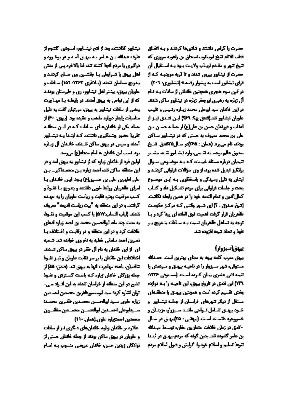مضرت راكرام ردلتنند وكتادىها كرهد ويته اتفتاق تعلب الانام تتبع ليربيقوب اسحاق بن راهويه مروزي كه **تنيخ تنهر و مقدم اريناب ولايت بنود بنه استقبال آن** حضرت از لیشایور بیرون تندند و تا تریه موینیته کنه از قرای تیشاپور است به بیشوار رفتند» (تیشاپوری، ۲۰۹) در قرن سوم هجری همچنین خلایاتی از سادات بیه آثام آل زباره به رهبری لیوجخر زباره در فیشاپور ساکن تسلند در این خاندان سید ابوعلی محمد زیباره رتبیس و هیب علویان تیشابور تند(تعنق چ۲: ۲۶۹) لین فتائق لیاز از اعقاب و فرزندان حسن بن علي(ع) از جمليه حسن بين علی بن محمد سروف به حستی که در تیشنایور سناکن مودند نام مربود (همان : 755)در مسال175هج. تسبيخ منعوق عالم برجسته تنجىء وارد نيشابور تننه بيشتر اتیمیان درباره مسئله غیبیت کیه بیه موضوعی سیوال برلکیز تبدیل تند بود از وی سوالات فرلیاتی کردند و ایشان به دلیل رسیدگی و پاسخگویی بنه این موضوع **بیعت و جلسات فراوانی برای مردم تنسکیل داد و کنیاب** كمال الدين وكمام التمته خود را در همين رأيطه لكاتبت (تنبغ صنوق: ۲) این تسور وقتی که مرکز حکومت **طلاریان قرار گرفت لعمیت توق الماده ای پیدا کرد و برا** توجه به تسلعل <del>ما</del>هریان نسیت بـه سـادات بتـدریج بـر انقوذ والمدلد تتبيعه أنزوده تتد

## يهوز (سبزوار)

بیوق سرب کلمه بیهه به ممای بهترین است حسنائه مستوفىء تتهر سيزوار را در تاجيبه بيهيق ومبرديش را **تیمه اتی عشری بیان کرده است (سیتوفی ۱۳۳۶**. **۱۳۹) این فنتق در تاریخ بیهق، این تاحیـه را بـه دوازده مغش تقسیم کرده است و همچنین پیهی را منطقهای** مستقل از دیگر تنهرهای خراسان از جملبه تیشنایور او خارد بیهای تسامل تاولی مانند سیزوار، مزینان و خبروجرد دانسته است (بیخی: ۳۵)بیهای در سال -آدق در زمان خلافت عتمارين عفان، توسط عبدالله ین عامر گشونه تند بدین گونه که مردم پیهان در ابتانا تترط تسليم ولسلام خودراء كرايش وقيول اسلام مردم

تيشابور كفاتلتنه بعداز فتح تيشابور استودن كلعوم از طرف عبالله بان عباس به پیهان آمد و در برخورد و درگیری یا مردم آقوا کشته تند اما بالاخره پس از منتی اهل بیوق با تسرایطی بیا جلاشین وی صنایع کردند و يتعريم مسلمان تتعقد (بالانري 1773: 151) مسلمات و علویان بیهق، بیشتر اهل تیشاپور، ری و طرستان بودند که از این تواهی به بیهق آسند. در رابط ه با مهنامرت **پیشی او سلطت تیشاپور به پیوی می توان گفت به دلیل** مناسبات بايدار درباره مذهب و عقيده بود (بيهق: ۳۰ از اجیله یکی از خاندان های میافات کنه در ایین منطقیه اهريا حضور جنسكيري دانتته كبه ابتدا ببه تشبابور آمدنه و سپس در پیهق ساکن تسعده خالسان آل زیباره يود تسب اين خلائل به لبام سجاد(ع) مروسد

البلین فرد از خلادان زیاره که از تیشاپیر به پیهق آمد و در این منطقه ساکن کند احمد زیاره بین محصداکیر۔ بین على اطهرين على بن حسين(ع) يود اين خلائيان يا امرای طعریان روابط خبی داشتند و پتدریج با تفرد و کسب موقعیت بهتره نقابت و ریاست علویان را به عهده الرفتند ودراين منطقه به أبيت رياست تديمه أمعرف تتنقد (لياب التسابية٥١٧) يا كسب ابن موقعيت وتقبونه ایه سدت چند ماه ابوالحسین محمد بن احمد زیاره ادعای خلافت كرد ودراين متطقه ودر وقبلت واختلاف ببا الصرين أحمد سأمالي خطبه به الم وي خواتده كند كسعيه ای از این خلایان به نام آل ظفر در پیهق ساکن تصدید. اخلافت این خلایان یا بر سر نقابت علویان و تیاز تفاوذ كافعيان، باعث مهاجرت أنها به بيهق كند (فتدق: 26) أز جمله یزرگان خاندان زیاره کبه باعت گسترش و تفتوذ النبع در این منطقه از خراسان تندند به این انتراد می -اتبان لتناره كردا سيد أيستصبر فلنريج محمدين أحصدين ازباره عاوى سيد ابواحسان محمدين فقاربن محمدة استجابوعان احسنين ابواهستن محسنين مغاشرين محصين احتجزياره علوى اضتان: ١١٠)

**علاوه بر خلایان زیاره خلایان های دیگری نیز از سادات و علویان در بیهق ساکن بودند از جمله خاندان حستی از** اتوادگان زیدین حسن، خاندان عریضی متسوب بنه اسام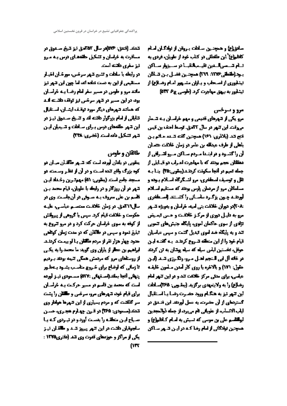مبادق(6) و همچنین مبادلت پیروتن از توادگیان اسام **كاظم(ع) اين منتطقي در كتاب خود از علويان، فردي به** فبام قصمر النعين فيصحانقينا تراسيزوار سناكن **بيد(شطى 1506 197) همچنين فضيل بين تسائلن فیشفوری از اصباطی و پیاران مشبهور اسام رضا(ع) از لیشلور به بیهق مهاجرت کرد (طوسی 75 PT)** 

مرو و سرخس

مرو یکی از تنهرهای قدیمی و مهم خراسان بنه تسمار مروقت این تنهر در سال ۲۲مق. توسط احف بن قیس تتح تد (بلانري: 16) همچنين گنته تسده دانم بان باطی از طرف عیدالله بن عامر در زمان خلاقت عصان **آن را گشتود و در ابتیدا میردم میاکن میرو انتیافی از** معقفان عجم بحند که با مهاجرت اعتراب دو قیبایلی از جمله تميم در أنجا سكونت كرهند(يمقوبي:۳۵) اينا بـه هل و توسیف اسطخری، مرو لنسکرگاه استلام پیونه و مسلماتان مرواز مردمان يارس يودند كه مستقيم استلام أورقلته جنون يزكنوه ماستاني راكشتند إصنطخري **800 % دران خلاقت بتی امیه، خراسان و بهریژه تسپیر** مرويه دليل دوري از مركز خلافت و حس تسيض تزادی از سوی حاکمان اموی، پایگاه جنیش های تشویی **تند و به پایگاه ضد لموی تبدیل کنیت و سپس عباسیان تیام خود را از این منطقه تشروع کردند. بـه گفتـه لیـن** حوقل، فخستین لباس سیله که سیله پوتان به تن کردند در خانه آل لی النجم اهل مارو رنگارزی تیند (این حقول: ١٧١) و بالاخره يا روي كار آمدن منامون خليفيه عیلیے، برای مدلی مرکز خلافت تند و در این تنهر لیام رضائع) را به ولایتمهدی برگزید (پیشبی: 165)سادات این تیم نیز به هنگام ورد مضرت رضا با استقبال گستردهای از آن حضرت به عمل آوردند این فضیق در ايلب الانساب، از علوياني فم مي برد، از جمله ذوالمجدين **ابوانندم علی بن مومی که تسیش به اسام کیانلم(ع) و** هممجتين لولاكاني ازلمام رضا كته در ايين تتبهر سناكن

**تىند (تىق 206)در سال 25مى تىز تىغ مىدوق در** مسائرت به خواسان و تشکیل حاتمصای درس بنه مرو اليز سفري دلائته أست در رابطه با سلطت و تشیع نتهر سرختی، مورختان اخیتار مستقیمی از این به دست تداده اند اما چهن این شهر تیز مانندمرو وطوس درمسير مغرامام رضا بته خراسان

یود در این مسیر در کنور سرخس نیز توقف تلفتنه آلند که همانند تنهرهای دیگر مورد توقیف ایشیان استقبال **کایانی از امام بزرگوار داننته لند و تشیخ مسدوق تیبز در** این تنهر مقدمای درس بارای سایات و تسیمان ایان كبوركتكيل بابه أست (نخرى: ٢٣٨)

طالقان وطومن

سقونی در بلدان آورده است که: تسهر مالکیان میبان در **کوه بزرگ واقع تنده است و در آن از نظر وسعته در** مسجد جأمع أستد (يعقوب: 61) مهم? رين رخمله أيين انتهر در آن روزگار و در رابطه با علویان، قیام محمد بان **تقسم بن على سروف بنه سنوفى در آن جاست، وي در** سال19 آهق. در زمان خلافت معتصب عباسي، عليه حكومت وخلافت قيام كرد. سپس با گروهي از پيرولتش از گونه به سوی خواسان حرکت کرد و در مرو تتروع به **اتبلیغ تمود و سپس در طالقان که در سدت زمان کوتلقی** حدود چهار هزار تقر از مردم طالقان با او بیست کردند. ابراهیم بن عطر از پاران وی کوید ما محمد را به یکس از روستغان مرو که مرتعش همگی تنیه بونند باردیم تا زمانی که اوضاع برای خاروی مناسب بشاود با طاور **پنهائی آموا بملقد(استفهایی :۵۲۷) مستودی تینز آورده** است که محمدین تاسم در سبز حرکت بنه خراسان **برای قیام خود کنهرهای مرو، سرختی و طلقان را پشت** سر گفاهت که و مردم بسیاری از این شهرها هوادار وی كتاف(مسودي: 150) در قرن چهارم هجري، حسن اصلياح أيان متعلقته را بقصت أورد وادر تياردي كنه بنا **سلجوقیان طنت در این تنهر پیروز تسد و ماانتان تیاز یکی از مراکز و حوزمعای قدرت وی کند (مقری1366 :** (ITY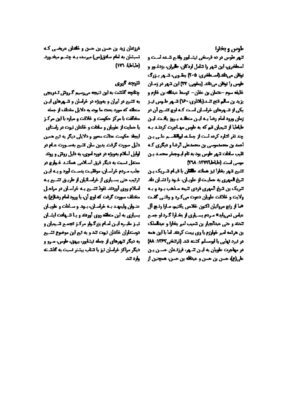طوس ويخارا

**تنهر طوس در ده قرسخی نیشنایور واقیم کسنه است و** اسطخری، این شهر را شامل اردکان، طیران، بزدغبور و نوقان مربانك الصيعانيري: ٢٠٥) بيقيون، تسور بازرگ طبس را توقل می تاند (پیغی : ۲۳) این شهر در زمیان خليفه سوم -حصان بن عفان- توسط عبدلله بن خازم و يزيدين سالم تتع تسد(بلاذري-70) تسهر طبوس ليبز یکی از تسهرهای خراسان است کنه ارج تشیع آن در زمان ورود امام رضا بنه این منطقته بتروز یافت، این طباطبا از تتیمیان قم که به طوس مهنامرت کردند بنه چند نفر اتنارہ کردہ است از جماعہ لیپانتاسیم علی پین احمد بن محمدموس بن محمدعلی ارضا و دیگری کیه هيب سلطت تتهر طوس بوديه تام ليوجيقر محميد يين موسى أسمت (طباطيا ١٣٧٢: ١٣٨٨

**تشیع تنهر بخارا نیز همانند طلقان با قییام تشریک بین** اتیغ المهری به حمایت از علویان، خود را نشان داد. اتریک بن تیخ آلموری فردی تیمه سذهب ب و و ب ولایت و فلاقت علویان دعوت میکرد و وقتی گفت خيا أز رتج مرواتيان اكتون خلاص يأتتيم، مبارا رتبج أل عیلیں تم واپدہ سردم پسیاری از وفیارا گرد او جسم كدند وحى عبدالجيارين كميب امم يخارا و عبدلسلك ین هرگمه امیر خوارزم یا وی بیمت کردند اما با این همه در لبرد لهایی با لبرستام کشته کد. (ترکیفی ۱۳۶۲: 88) در مهاجرت علویان به ایان تشهر، فرزنسان حسان بان علي(ع)، حسن بن حسن و عيدالله بن حسن، عسجتين از

افرزندان زید بن حسن بن حسن و خلدان عریضی کنه انسیشان به امام صادق(ص) میرسد، یبه چشبم میخبورد.  $(MLLL)$ 

تتيجه كيري

جفايه كفقت به أين تنيجه ممرسيم كروتل تندريجي به تشیع در ایران و بهویژه در خراسان و تسهرهای ایس منطقه كه مورد بحث ما بود به دلایل مختلف از جمله مخالفت با مرکز حکومت و خلاقت و میاره با این مرکز **یا حمایت از علویان و سلانت و خاندان تیوت در راستای** امیط حکیمت عنائت محبر و دلایلی دیگر به تم همین ادثیل صورت گرفت بدین سان کنیج به صنورت عنام در الوایل اسلام بهبیژه در دوره اموی، به دلیل رونتی و روند ممتعل تسبت به دیگر قرق اسلامی همانند خوارج در جفب سردم خراسان، موقفیت بدست آورد و بنه این الركيب حتى بسياري أزخراساليان از طريبق لتسيع ببه اسلام روی آوردند تقوذ تشبیع بنه خراسان در مراحل مخطف سورت گرفت که لوچ آن، یا ورود لسام رضا(ع) به عنوان وليمهد ببه خراسان، ببود و سادات و عاويان **بسیاری به این متعلقه روی آوردند و برا تشهادت ایشیان تیز مقبرہ اپن اسام بزرگ وار مرکز تجمع تسیمان ر** ادرستطران خاندان تبهت تند و به تیم این موضوع تشبیع یه دیگر تنهرهای از جمله لیشاپور، پیهق، طوس، صرو و دیگر مراکز خراسان تیز یا تنتاب بیشتر اسبت به گفتنت وارد تند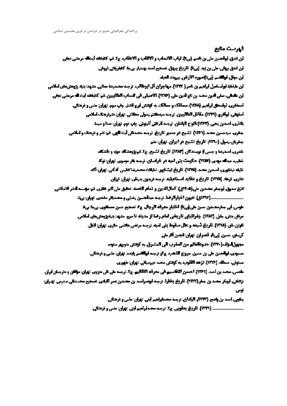فتترصت منابع أبن تعدق لبواحسن ملي بن ناسم. (بي:أ). لباب الاتساب و الالتّاب و الاعقاب ج2. تم: كتابخته أيشافه مرمضي تجفي. أبن تعلق بهائي، على بن زيد إبريتا. تاريخ بهائي. تصحيح أحد بهشيار. بيجا: كابفرونتي تروفي. أبن موقل، لوالكسم (بي:أ)صوره الارض. يبرون: أهماء لبن مليقط أولسياسل أولعهم بن ناصر( ١٣٣٣). مهاجران آل ابوطالب، ترجيه محسوضًا معاني. مشهد: بنيلا بزوهش هاي أسلامي فين مقتبلي، سفي اليون محيد بن تابع لدين على (١٣٧٦). الاصبيلي في التساب الطالبيين. تتم كظيفاته أيت اله مرمضي تجفي أصخائري، أبواسحاق أبراهيم. (1374). متعالك و ممالك به كونتش أبرج أنشار. بياب سوم تهران: ماس و فرهنگي. أصفهفي، لبولدري (١٧٣٩). مقاتل الطالبيين، ترجمه سيدهجم رسولي معلاتي. تهران: تشرفرهنگ اسلامي بلاذري اصدين يحيى (1972) قتوح البلدان. ترجمه أثرتاني أذرتوني. چلب دوم. تهران: مدا و سيط **جغري. سيدمسين محمد (١٦٦/ تشميع در مسير تاريخ. ترجم محمدعل أيت فلهي. فم: ندر و فرهنگ و لملامي.** جغربان. رسول. (۱۳۹۰). تاریخ تشیع در ایران. تهران: ملم شقری، أصدرتنا و جس از توپستدگان (۱۳۸۲). تاریخ تشمیع. ج۱. قمع وقشکله حوزه و طشکله شطیب میدانه مهدی (۱۳۵۲) حکومت بنی امیه در خراصان. ترجمه بقر موسوی، تهران: توکد خیله تبشاوری، أصدین سعت (۱۳۴۸). تأریخ تیشابور. تایکات محت ضاعفیس کدکی. تهران: آک **یخری. ترهاد (۱۳۷۵) تاریخ و عقاید اصماعیلید ترجه فرینوی پدریلی. تهران: قرزان.** التيخ صدوق أبوجة, محمدين مارو(4-97و). كمال(الدين واتمام للنعمه. تحقيق مل اكبر غفاري. تم: مؤسسه لنشر الاسلامي. **طوس، لي جدرمد مين مين طي في تا) اختيار معرفه الرجال. ج5 تصعيع مين مصطفوي. بي با: بي:ذ** مرقل مش، جليل (1389). چغراقياي تاريخي لقام رضا از مدينه تا مرو. مشهد: بتيلاورمش هاي املامي. **تاوتن، نار. (۱۳۲۵). تاریخ شیعه و علل صقوط بنی امید ترجسه مرتضی هاشی حاری. تهران: انبال. کرسٹر، مسین اپرنگ قصران. تعران: انجس آثار ملی.** مجهزل الواشم(1930). حدودالعالم من المغرب الى المشرق. به كوتش متويم سنود. **مسودي، ليولدسن على بن حسين. مروج الذهب ج6و ترجمه ليولانهم يليمه تهران: ملمي وذرهكي.** مستوتي، مسافه. (1976). تزهه القلوب به گوتش محمد صرمياني. تهران: طهوري. ملصي، محمد بن أحمد (1974). أحصون التقاسيم في معرفه الاقاليم ج5. ترجمه على عن متروق. تهران: مولفان و مترجمان أيران تزكتكي، أيهتر محمد بن جنار(١٢٦٧). تأريخ بخارا. ترجمه أيضمرأمند بن محمدين نمر ألباني، تصحيح محمدتان مدرس. تهرأن: -25 يبكون، أحيد بن وأضح. (1997م البلدان، ترجيه محيدأبرلغيم أيني. تهرأن: علمي و فرهنگي.

- (1999). تاریخ پهغوی، ج2. ترجمه محمدلولمیم ایش. تهران: ملس و فرهنگی.